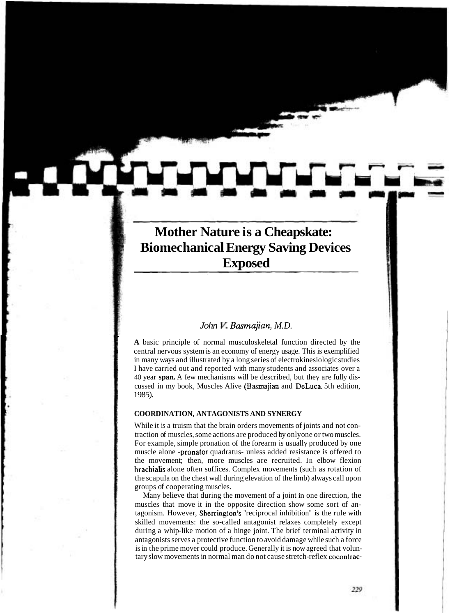# **Mother Nature is a Cheapskate:**<br>**Biomechanical Energy Saving Devices Exposed**

## *John V. Basmajian, M.D.*

" **A** basic principle of normal musculoskeletal function directed by the central nervous system is an economy of energy usage. This is exemplified in many ways and illustrated by a long series of electrokinesiologic studies I have carried out and reported with many students and associates over a 40 year **span.** A few mechanisms will be described, but they are fully discussed in my book, Muscles Alive (Basmajian and DeLuca, 5th edition, 1985).

### **COORDINATION, ANTAGONISTS AND SYNERGY**

While it is a truism that the brain orders movements of joints and not contraction of muscles, some actions are produced by onlyone or two muscles. For example, simple pronation of the forearm is usually produced by one muscle alone -pronator quadratus- unless added resistance is offered to the movement; then, more muscles are recruited. In elbow flexion brachialis alone often suffices. Complex movements (such as rotation of the scapula on the chest wall during elevation of the limb) always call upon groups of cooperating muscles.

Many believe that during the movement of a joint in one direction, the muscles that move it in the opposite direction show some sort of antagonism. However, Sherrington's "reciprocal inhibition" is the rule with skilled movements: the so-called antagonist relaxes completely except during a whip-like motion of a hinge joint. The brief terminal activity in antagonists serves a protective function to avoid damage while such a force is in the prime mover could produce. Generally it is now agreed that voluntary slow movements in normal man do not cause stretch-reflex cocontrac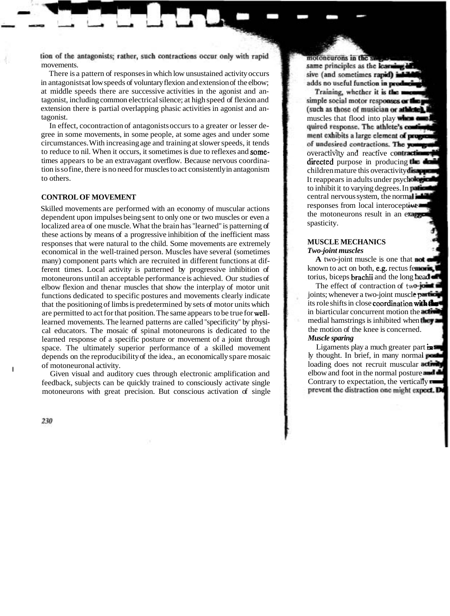tion of the antagonists; rather, such contractions occur only with rapid movements.

There is a pattern of responses in which low unsustained activity occurs in antagonists at low speeds of voluntary flexion and extension of the elbow; at middle speeds there are successive activities in the agonist and antagonist, including common electrical silence; at high speed of flexion and extension there is partial overlapping phasic activities in agonist and antagonist. muscles that flood into players that flood into players in the players of  $\mathbb{R}$ 

In effect, cocontraction of antagonists occurs to a greater or lesser degree in some movements, in some people, at some ages and under some circumstances. With increasing age and training at slower speeds, it tends to reduce to nil. When it occurs, it sometimes is due to reflexes and sometimes appears to be an extravagant overflow. Because nervous coordination is so fine, there is no need for muscles to act consistently in antagonism to others.

#### **CONTROL OF MOVEMENT**

Skilled movements are performed with an economy of muscular actions dependent upon impulses being sent to only one or two muscles or even a localized area of one muscle. What the brain has "learned" is patterning of these actions by means of a progressive inhibition of the inefficient mass responses that were natural to the child. Some movements are extremely economical in the well-trained person. Muscles have several (sometimes many) component parts which are recruited in different functions at different times. Local activity is patterned by progressive inhibition of motoneurons until an acceptable performance is achieved. Our studies of elbow flexion and thenar muscles that show the interplay of motor unit functions dedicated to specific postures and movements clearly indicate that the positioning of limbs is predetermined by sets of motor units which are permitted to act for that position. The same appears to be true for welllearned movements. The learned patterns are called "specificity" by physical educators. The mosaic of spinal motoneurons is dedicated to the learned response of a specific posture or movement of a joint through space. The ultimately superior performance of a skilled movement depends on the reproducibility of the idea., an economically spare mosaic <sup>I</sup>of motoneuronal activity.

Given visual and auditory cues through electronic amplification and feedback, subjects can be quickly trained to consciously activate single motoneurons with great precision. But conscious activation of single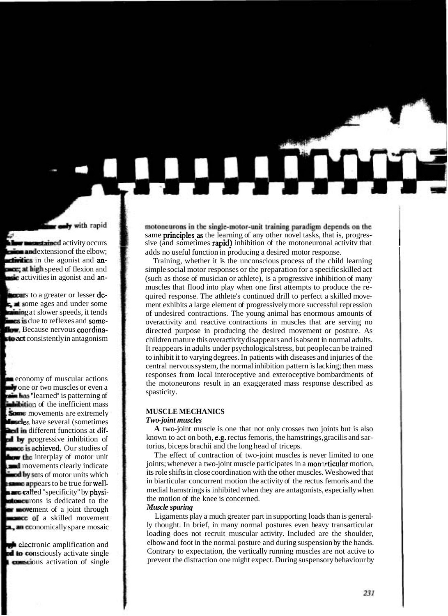motoneurons in the single-motor-unit training paradigm depends on the same **principles as** the learning of any other novel tasks, that is, progres-<br>sive (and sometimes **rapid)** inhibition of the motoneuronal activity that adds no useful function in producing a desired motor response.

> Training, whether it is the unconscious process of the child learning simple social motor responses or the preparation for a specific skilled act (such as those of musician or athlete), is a progressive inhibition of many muscles that flood into play when one first attempts to produce the required response. The athlete's continued drill to perfect a skilled movement exhibits a large element of progressively more successful repression of undesired contractions. The young animal has enormous amounts of overactivity and reactive contractions in muscles that are serving no directed purpose in producing the desired movement or posture. As children mature this overactivity disappears and is absent in normal adults. It reappears in adults under psychological stress, but people can be trained to inhibit it to varying degrees. In patients with diseases and injuries of the central nervous system, the normal inhibition pattern is lacking; then mass responses from local interoceptive and exteroceptive bombardments of the motoneurons result in an exaggerated mass response described as spasticity.

#### **MUSCLE MECHANICS**

#### *Two-joint muscles*

**A** two-joint muscle is one that not only crosses two joints but is also known to act on both, e.g. rectus femoris, the hamstrings, gracilis and sartorius, biceps brachii and the long head of triceps.

The effect of contraction of two-joint muscles is never limited to one joints; whenever a two-joint muscle participates in a monarticular motion, its role shifts in close coordination with the other muscles. We showed that in biarticular concurrent motion the activity of the rectus femoris and the medial hamstrings is inhibited when they are antagonists, especially when the motion of the knee is concerned. *Muscle sparing* 

#### Ligaments play a much greater part in supporting loads than is generally thought. In brief, in many normal postures even heavy transarticular loading does not recruit muscular activity. Included are the shoulder, elbow and foot in the normal posture and during suspension by the hands. Contrary to expectation, the vertically running muscles are not active to prevent the distraction one might expect. During suspensory behaviour by